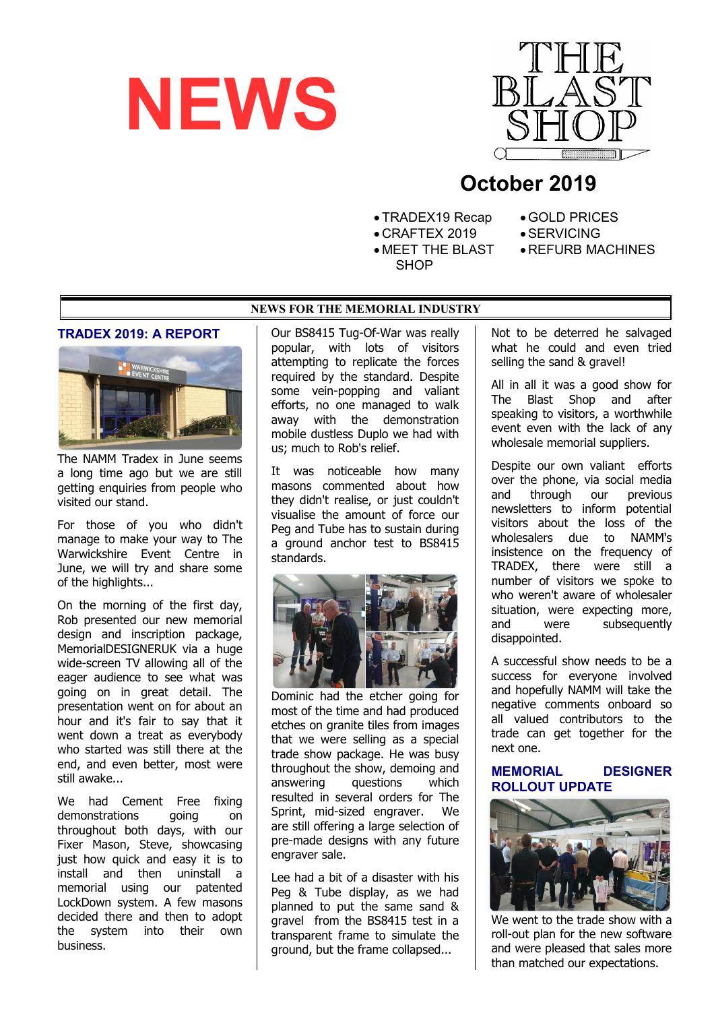



# **October 2019**

- TRADEX19 Recap
- CRAFTEX 2019
- MEET THE BLAST **SHOP**
- GOLD PRICES
- SERVICING
- REFURB MACHINES

## **TRADEX 2019: A REPORT**



The NAMM Tradex in June seems a long time ago but we are still getting enquiries from people who visited our stand.

For those of you who didn't manage to make your way to The Warwickshire Event Centre in June, we will try and share some of the highlights...

On the morning of the first day, Rob presented our new memorial design and inscription package, MemorialDESIGNERUK via a huge wide-screen TV allowing all of the eager audience to see what was going on in great detail. The presentation went on for about an hour and it's fair to say that it went down a treat as everybody who started was still there at the end, and even better, most were still awake...

We had Cement Free fixing demonstrations going on throughout both days, with our Fixer Mason, Steve, showcasing just how quick and easy it is to install and then uninstall a memorial using our patented LockDown system. A few masons decided there and then to adopt the system into their own business.

#### **NEWS FOR THE MEMORIAL INDUSTRY**

Our BS8415 Tug-Of-War was really popular, with lots of visitors attempting to replicate the forces required by the standard. Despite some vein-popping and valiant efforts, no one managed to walk away with the demonstration mobile dustless Duplo we had with us; much to Rob's relief.

It was noticeable how many masons commented about how they didn't realise, or just couldn't visualise the amount of force our Peg and Tube has to sustain during a ground anchor test to BS8415 standards.



Dominic had the etcher going for most of the time and had produced etches on granite tiles from images that we were selling as a special trade show package. He was busy throughout the show, demoing and answering questions which resulted in several orders for The Sprint, mid-sized engraver. We are still offering a large selection of pre-made designs with any future engraver sale.

Lee had a bit of a disaster with his Peg & Tube display, as we had planned to put the same sand & gravel from the BS8415 test in a transparent frame to simulate the ground, but the frame collapsed...

Not to be deterred he salvaged what he could and even tried selling the sand & gravel!

All in all it was a good show for The Blast Shop and after speaking to visitors, a worthwhile event even with the lack of any wholesale memorial suppliers.

Despite our own valiant efforts over the phone, via social media and through our previous newsletters to inform potential visitors about the loss of the wholesalers due to NAMM's insistence on the frequency of TRADEX, there were still a number of visitors we spoke to who weren't aware of wholesaler situation, were expecting more, and were subsequently disappointed.

A successful show needs to be a success for everyone involved and hopefully NAMM will take the negative comments onboard so all valued contributors to the trade can get together for the next one.

# **MEMORIAL DESIGNER ROLLOUT UPDATE**



We went to the trade show with a roll-out plan for the new software and were pleased that sales more than matched our expectations.